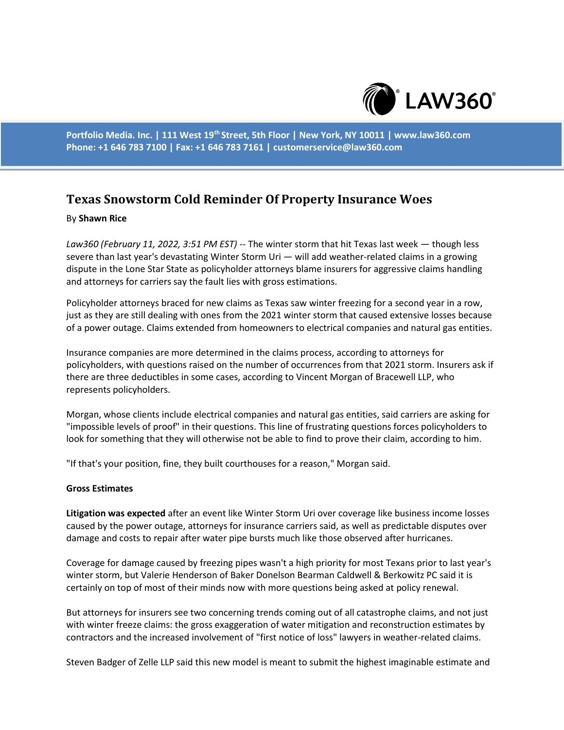

**Portfolio Media. Inc. | 111 West 19th Street, 5th Floor | New York, NY 10011 | www.law360.com Phone: +1 646 783 7100 | Fax: +1 646 783 7161 | customerservice@law360.com**

# **Texas Snowstorm Cold Reminder Of Property Insurance Woes**

### By **Shawn Rice**

*Law360 (February 11, 2022, 3:51 PM EST)* -- The winter storm that hit Texas last week — though less severe than last year's devastating Winter Storm Uri — will add weather-related claims in a growing dispute in the Lone Star State as policyholder attorneys blame insurers for aggressive claims handling and attorneys for carriers say the fault lies with gross estimations.

Policyholder attorneys braced for new claims as Texas saw winter freezing for a second year in a row, just as they are still dealing with ones from the 2021 winter storm that caused extensive losses because of a power outage. Claims extended from homeowners to electrical companies and natural gas entities.

Insurance companies are more determined in the claims process, according to attorneys for policyholders, with questions raised on the number of occurrences from that 2021 storm. Insurers ask if there are three deductibles in some cases, according to Vincent Morgan of Bracewell LLP, who represents policyholders.

Morgan, whose clients include electrical companies and natural gas entities, said carriers are asking for "impossible levels of proof" in their questions. This line of frustrating questions forces policyholders to look for something that they will otherwise not be able to find to prove their claim, according to him.

"If that's your position, fine, they built courthouses for a reason," Morgan said.

#### **Gross Estimates**

**Litigation was expected** after an event like Winter Storm Uri over coverage like business income losses caused by the power outage, attorneys for insurance carriers said, as well as predictable disputes over damage and costs to repair after water pipe bursts much like those observed after hurricanes.

Coverage for damage caused by freezing pipes wasn't a high priority for most Texans prior to last year's winter storm, but Valerie Henderson of Baker Donelson Bearman Caldwell & Berkowitz PC said it is certainly on top of most of their minds now with more questions being asked at policy renewal.

But attorneys for insurers see two concerning trends coming out of all catastrophe claims, and not just with winter freeze claims: the gross exaggeration of water mitigation and reconstruction estimates by contractors and the increased involvement of "first notice of loss" lawyers in weather-related claims.

Steven Badger of Zelle LLP said this new model is meant to submit the highest imaginable estimate and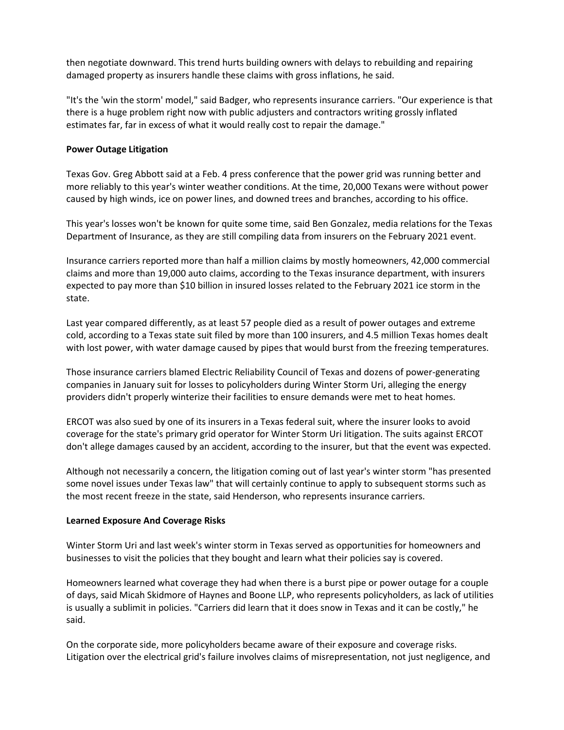then negotiate downward. This trend hurts building owners with delays to rebuilding and repairing damaged property as insurers handle these claims with gross inflations, he said.

"It's the 'win the storm' model," said Badger, who represents insurance carriers. "Our experience is that there is a huge problem right now with public adjusters and contractors writing grossly inflated estimates far, far in excess of what it would really cost to repair the damage."

## **Power Outage Litigation**

Texas Gov. Greg Abbott said at a Feb. 4 press conference that the power grid was running better and more reliably to this year's winter weather conditions. At the time, 20,000 Texans were without power caused by high winds, ice on power lines, and downed trees and branches, according to his office.

This year's losses won't be known for quite some time, said Ben Gonzalez, media relations for the Texas Department of Insurance, as they are still compiling data from insurers on the February 2021 event.

Insurance carriers reported more than half a million claims by mostly homeowners, 42,000 commercial claims and more than 19,000 auto claims, according to the Texas insurance department, with insurers expected to pay more than \$10 billion in insured losses related to the February 2021 ice storm in the state.

Last year compared differently, as at least 57 people died as a result of power outages and extreme cold, according to a Texas state suit filed by more than 100 insurers, and 4.5 million Texas homes dealt with lost power, with water damage caused by pipes that would burst from the freezing temperatures.

Those insurance carriers blamed Electric Reliability Council of Texas and dozens of power-generating companies in January suit for losses to policyholders during Winter Storm Uri, alleging the energy providers didn't properly winterize their facilities to ensure demands were met to heat homes.

ERCOT was also sued by one of its insurers in a Texas federal suit, where the insurer looks to avoid coverage for the state's primary grid operator for Winter Storm Uri litigation. The suits against ERCOT don't allege damages caused by an accident, according to the insurer, but that the event was expected.

Although not necessarily a concern, the litigation coming out of last year's winter storm "has presented some novel issues under Texas law" that will certainly continue to apply to subsequent storms such as the most recent freeze in the state, said Henderson, who represents insurance carriers.

#### **Learned Exposure And Coverage Risks**

Winter Storm Uri and last week's winter storm in Texas served as opportunities for homeowners and businesses to visit the policies that they bought and learn what their policies say is covered.

Homeowners learned what coverage they had when there is a burst pipe or power outage for a couple of days, said Micah Skidmore of Haynes and Boone LLP, who represents policyholders, as lack of utilities is usually a sublimit in policies. "Carriers did learn that it does snow in Texas and it can be costly," he said.

On the corporate side, more policyholders became aware of their exposure and coverage risks. Litigation over the electrical grid's failure involves claims of misrepresentation, not just negligence, and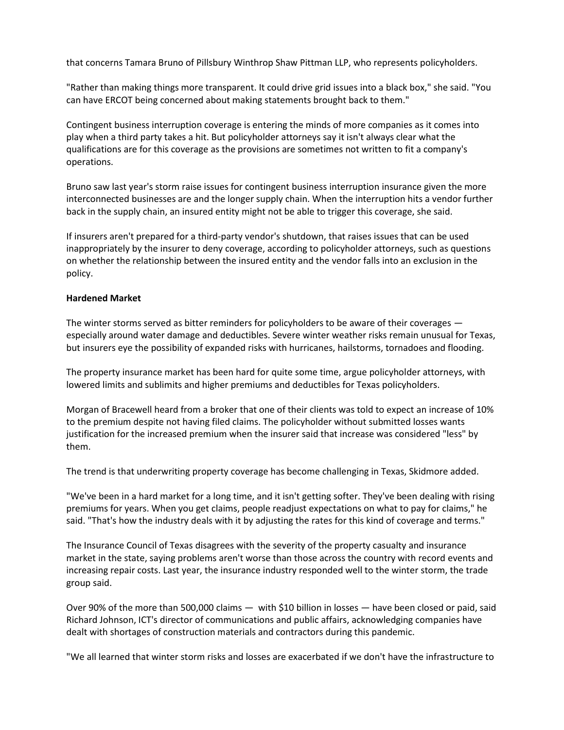that concerns Tamara Bruno of Pillsbury Winthrop Shaw Pittman LLP, who represents policyholders.

"Rather than making things more transparent. It could drive grid issues into a black box," she said. "You can have ERCOT being concerned about making statements brought back to them."

Contingent business interruption coverage is entering the minds of more companies as it comes into play when a third party takes a hit. But policyholder attorneys say it isn't always clear what the qualifications are for this coverage as the provisions are sometimes not written to fit a company's operations.

Bruno saw last year's storm raise issues for contingent business interruption insurance given the more interconnected businesses are and the longer supply chain. When the interruption hits a vendor further back in the supply chain, an insured entity might not be able to trigger this coverage, she said.

If insurers aren't prepared for a third-party vendor's shutdown, that raises issues that can be used inappropriately by the insurer to deny coverage, according to policyholder attorneys, such as questions on whether the relationship between the insured entity and the vendor falls into an exclusion in the policy.

## **Hardened Market**

The winter storms served as bitter reminders for policyholders to be aware of their coverages especially around water damage and deductibles. Severe winter weather risks remain unusual for Texas, but insurers eye the possibility of expanded risks with hurricanes, hailstorms, tornadoes and flooding.

The property insurance market has been hard for quite some time, argue policyholder attorneys, with lowered limits and sublimits and higher premiums and deductibles for Texas policyholders.

Morgan of Bracewell heard from a broker that one of their clients was told to expect an increase of 10% to the premium despite not having filed claims. The policyholder without submitted losses wants justification for the increased premium when the insurer said that increase was considered "less" by them.

The trend is that underwriting property coverage has become challenging in Texas, Skidmore added.

"We've been in a hard market for a long time, and it isn't getting softer. They've been dealing with rising premiums for years. When you get claims, people readjust expectations on what to pay for claims," he said. "That's how the industry deals with it by adjusting the rates for this kind of coverage and terms."

The Insurance Council of Texas disagrees with the severity of the property casualty and insurance market in the state, saying problems aren't worse than those across the country with record events and increasing repair costs. Last year, the insurance industry responded well to the winter storm, the trade group said.

Over 90% of the more than 500,000 claims — with \$10 billion in losses — have been closed or paid, said Richard Johnson, ICT's director of communications and public affairs, acknowledging companies have dealt with shortages of construction materials and contractors during this pandemic.

"We all learned that winter storm risks and losses are exacerbated if we don't have the infrastructure to